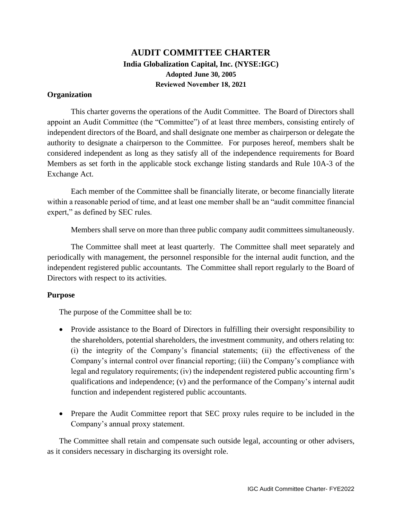## **AUDIT COMMITTEE CHARTER India Globalization Capital, Inc. (NYSE:IGC) Adopted June 30, 2005 Reviewed November 18, 2021**

## **Organization**

This charter governs the operations of the Audit Committee. The Board of Directors shall appoint an Audit Committee (the "Committee") of at least three members, consisting entirely of independent directors of the Board, and shall designate one member as chairperson or delegate the authority to designate a chairperson to the Committee. For purposes hereof, members shalt be considered independent as long as they satisfy all of the independence requirements for Board Members as set forth in the applicable stock exchange listing standards and Rule 10A-3 of the Exchange Act.

Each member of the Committee shall be financially literate, or become financially literate within a reasonable period of time, and at least one member shall be an "audit committee financial expert," as defined by SEC rules.

Members shall serve on more than three public company audit committees simultaneously.

The Committee shall meet at least quarterly. The Committee shall meet separately and periodically with management, the personnel responsible for the internal audit function, and the independent registered public accountants. The Committee shall report regularly to the Board of Directors with respect to its activities.

## **Purpose**

The purpose of the Committee shall be to:

- Provide assistance to the Board of Directors in fulfilling their oversight responsibility to the shareholders, potential shareholders, the investment community, and others relating to: (i) the integrity of the Company's financial statements; (ii) the effectiveness of the Company's internal control over financial reporting; (iii) the Company's compliance with legal and regulatory requirements; (iv) the independent registered public accounting firm's qualifications and independence; (v) and the performance of the Company's internal audit function and independent registered public accountants.
- Prepare the Audit Committee report that SEC proxy rules require to be included in the Company's annual proxy statement.

The Committee shall retain and compensate such outside legal, accounting or other advisers, as it considers necessary in discharging its oversight role.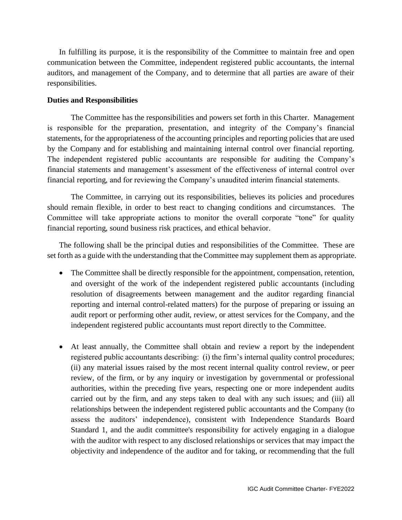In fulfilling its purpose, it is the responsibility of the Committee to maintain free and open communication between the Committee, independent registered public accountants, the internal auditors, and management of the Company, and to determine that all parties are aware of their responsibilities.

## **Duties and Responsibilities**

The Committee has the responsibilities and powers set forth in this Charter. Management is responsible for the preparation, presentation, and integrity of the Company's financial statements, for the appropriateness of the accounting principles and reporting policies that are used by the Company and for establishing and maintaining internal control over financial reporting. The independent registered public accountants are responsible for auditing the Company's financial statements and management's assessment of the effectiveness of internal control over financial reporting, and for reviewing the Company's unaudited interim financial statements.

The Committee, in carrying out its responsibilities, believes its policies and procedures should remain flexible, in order to best react to changing conditions and circumstances. The Committee will take appropriate actions to monitor the overall corporate "tone" for quality financial reporting, sound business risk practices, and ethical behavior.

The following shall be the principal duties and responsibilities of the Committee. These are set forth as a guide with the understanding that the Committee may supplement them as appropriate.

- The Committee shall be directly responsible for the appointment, compensation, retention, and oversight of the work of the independent registered public accountants (including resolution of disagreements between management and the auditor regarding financial reporting and internal control-related matters) for the purpose of preparing or issuing an audit report or performing other audit, review, or attest services for the Company, and the independent registered public accountants must report directly to the Committee.
- At least annually, the Committee shall obtain and review a report by the independent registered public accountants describing: (i) the firm's internal quality control procedures; (ii) any material issues raised by the most recent internal quality control review, or peer review, of the firm, or by any inquiry or investigation by governmental or professional authorities, within the preceding five years, respecting one or more independent audits carried out by the firm, and any steps taken to deal with any such issues; and (iii) all relationships between the independent registered public accountants and the Company (to assess the auditors' independence), consistent with Independence Standards Board Standard 1, and the audit committee's responsibility for actively engaging in a dialogue with the auditor with respect to any disclosed relationships or services that may impact the objectivity and independence of the auditor and for taking, or recommending that the full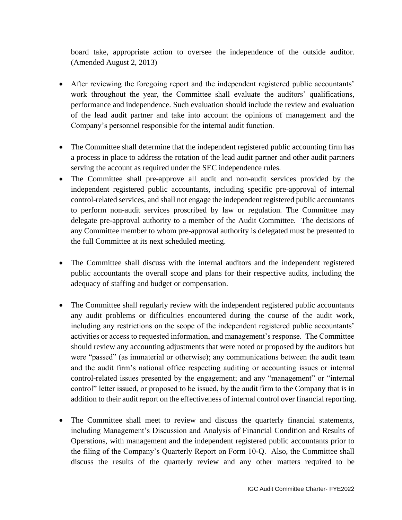board take, appropriate action to oversee the independence of the outside auditor. (Amended August 2, 2013)

- After reviewing the foregoing report and the independent registered public accountants' work throughout the year, the Committee shall evaluate the auditors' qualifications, performance and independence. Such evaluation should include the review and evaluation of the lead audit partner and take into account the opinions of management and the Company's personnel responsible for the internal audit function.
- The Committee shall determine that the independent registered public accounting firm has a process in place to address the rotation of the lead audit partner and other audit partners serving the account as required under the SEC independence rules.
- The Committee shall pre-approve all audit and non-audit services provided by the independent registered public accountants, including specific pre-approval of internal control-related services, and shall not engage the independent registered public accountants to perform non-audit services proscribed by law or regulation. The Committee may delegate pre-approval authority to a member of the Audit Committee. The decisions of any Committee member to whom pre-approval authority is delegated must be presented to the full Committee at its next scheduled meeting.
- The Committee shall discuss with the internal auditors and the independent registered public accountants the overall scope and plans for their respective audits, including the adequacy of staffing and budget or compensation.
- The Committee shall regularly review with the independent registered public accountants any audit problems or difficulties encountered during the course of the audit work, including any restrictions on the scope of the independent registered public accountants' activities or access to requested information, and management's response. The Committee should review any accounting adjustments that were noted or proposed by the auditors but were "passed" (as immaterial or otherwise); any communications between the audit team and the audit firm's national office respecting auditing or accounting issues or internal control-related issues presented by the engagement; and any "management" or "internal control" letter issued, or proposed to be issued, by the audit firm to the Company that is in addition to their audit report on the effectiveness of internal control over financial reporting.
- The Committee shall meet to review and discuss the quarterly financial statements, including Management's Discussion and Analysis of Financial Condition and Results of Operations, with management and the independent registered public accountants prior to the filing of the Company's Quarterly Report on Form 10-Q. Also, the Committee shall discuss the results of the quarterly review and any other matters required to be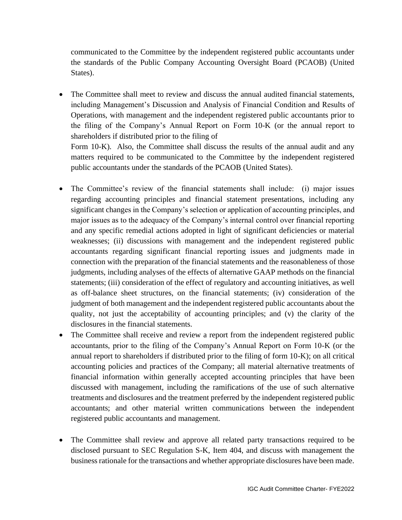communicated to the Committee by the independent registered public accountants under the standards of the Public Company Accounting Oversight Board (PCAOB) (United States).

• The Committee shall meet to review and discuss the annual audited financial statements, including Management's Discussion and Analysis of Financial Condition and Results of Operations, with management and the independent registered public accountants prior to the filing of the Company's Annual Report on Form 10-K (or the annual report to shareholders if distributed prior to the filing of Form 10-K). Also, the Committee shall discuss the results of the annual audit and any

matters required to be communicated to the Committee by the independent registered public accountants under the standards of the PCAOB (United States).

- The Committee's review of the financial statements shall include: (i) major issues regarding accounting principles and financial statement presentations, including any significant changes in the Company's selection or application of accounting principles, and major issues as to the adequacy of the Company's internal control over financial reporting and any specific remedial actions adopted in light of significant deficiencies or material weaknesses; (ii) discussions with management and the independent registered public accountants regarding significant financial reporting issues and judgments made in connection with the preparation of the financial statements and the reasonableness of those judgments, including analyses of the effects of alternative GAAP methods on the financial statements; (iii) consideration of the effect of regulatory and accounting initiatives, as well as off-balance sheet structures, on the financial statements; (iv) consideration of the judgment of both management and the independent registered public accountants about the quality, not just the acceptability of accounting principles; and (v) the clarity of the disclosures in the financial statements.
- The Committee shall receive and review a report from the independent registered public accountants, prior to the filing of the Company's Annual Report on Form 10-K (or the annual report to shareholders if distributed prior to the filing of form 10-K); on all critical accounting policies and practices of the Company; all material alternative treatments of financial information within generally accepted accounting principles that have been discussed with management, including the ramifications of the use of such alternative treatments and disclosures and the treatment preferred by the independent registered public accountants; and other material written communications between the independent registered public accountants and management.
- The Committee shall review and approve all related party transactions required to be disclosed pursuant to SEC Regulation S-K, Item 404, and discuss with management the business rationale for the transactions and whether appropriate disclosures have been made.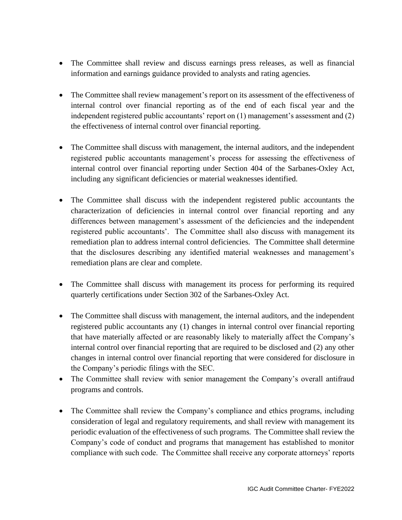- The Committee shall review and discuss earnings press releases, as well as financial information and earnings guidance provided to analysts and rating agencies.
- The Committee shall review management's report on its assessment of the effectiveness of internal control over financial reporting as of the end of each fiscal year and the independent registered public accountants' report on (1) management's assessment and (2) the effectiveness of internal control over financial reporting.
- The Committee shall discuss with management, the internal auditors, and the independent registered public accountants management's process for assessing the effectiveness of internal control over financial reporting under Section 404 of the Sarbanes-Oxley Act, including any significant deficiencies or material weaknesses identified.
- The Committee shall discuss with the independent registered public accountants the characterization of deficiencies in internal control over financial reporting and any differences between management's assessment of the deficiencies and the independent registered public accountants'. The Committee shall also discuss with management its remediation plan to address internal control deficiencies. The Committee shall determine that the disclosures describing any identified material weaknesses and management's remediation plans are clear and complete.
- The Committee shall discuss with management its process for performing its required quarterly certifications under Section 302 of the Sarbanes-Oxley Act.
- The Committee shall discuss with management, the internal auditors, and the independent registered public accountants any (1) changes in internal control over financial reporting that have materially affected or are reasonably likely to materially affect the Company's internal control over financial reporting that are required to be disclosed and (2) any other changes in internal control over financial reporting that were considered for disclosure in the Company's periodic filings with the SEC.
- The Committee shall review with senior management the Company's overall antifraud programs and controls.
- The Committee shall review the Company's compliance and ethics programs, including consideration of legal and regulatory requirements, and shall review with management its periodic evaluation of the effectiveness of such programs. The Committee shall review the Company's code of conduct and programs that management has established to monitor compliance with such code. The Committee shall receive any corporate attorneys' reports